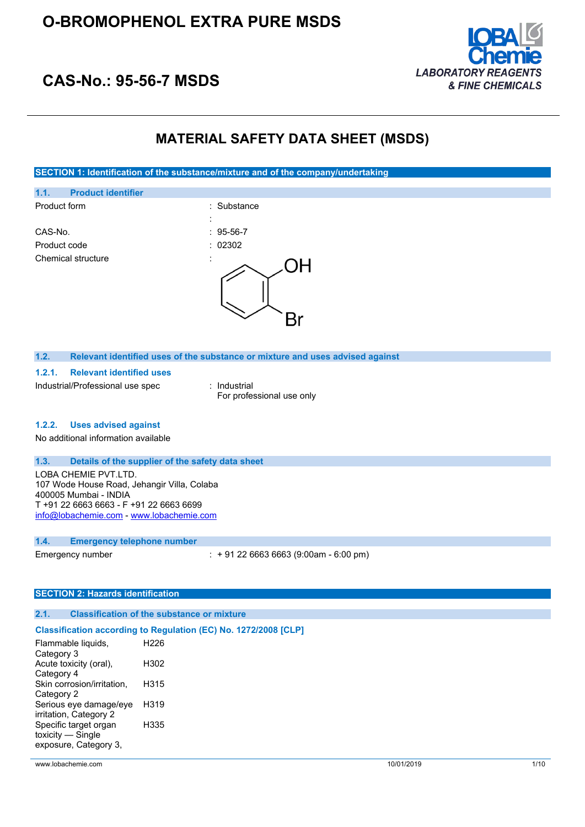# **O-BROMOPHENOL EXTRA PURE MSDS**



# **CAS-No.: 95-56-7 MSDS**

# **MATERIAL SAFETY DATA SHEET (MSDS)**

**SECTION 1: Identification of the substance/mixture and of the company/undertaking**



Industrial/Professional use spec : Industrial

For professional use only

#### **1.2.2. Uses advised against**

No additional information available

#### **1.3. Details of the supplier of the safety data sheet**

LOBA CHEMIE PVT.LTD. 107 Wode House Road, Jehangir Villa, Colaba 400005 Mumbai - INDIA T +91 22 6663 6663 - F +91 22 6663 6699 [info@lobachemie.com](mailto:info@lobachemie.com) - <www.lobachemie.com>

#### **1.4. Emergency telephone number**

Emergency number : + 91 22 6663 6663 (9:00am - 6:00 pm)

#### **SECTION 2: Hazards identification**

#### **2.1. Classification of the substance or mixture**

#### **Classification according to Regulation (EC) No. 1272/2008 [CLP]**

| Flammable liquids,         | H226 |
|----------------------------|------|
| Category 3                 |      |
| Acute toxicity (oral),     | H302 |
| Category 4                 |      |
| Skin corrosion/irritation, | H315 |
| Category 2                 |      |
| Serious eye damage/eye     | H319 |
| irritation, Category 2     |      |
| Specific target organ      | H335 |
| toxicity — Single          |      |
| exposure, Category 3,      |      |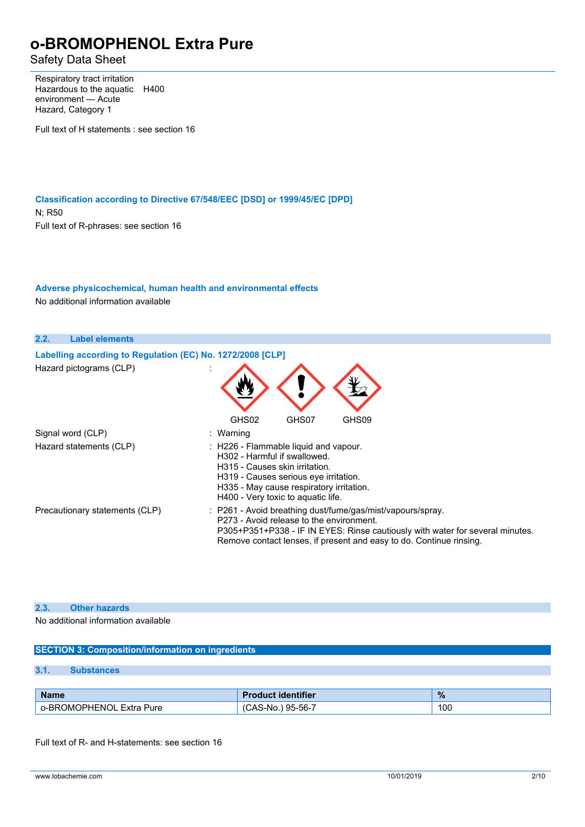Safety Data Sheet

Respiratory tract irritation Hazardous to the aquatic H400 environment — Acute Hazard, Category 1

Full text of H statements : see section 16

**Classification according to Directive 67/548/EEC [DSD] or 1999/45/EC [DPD]** N; R50 Full text of R-phrases: see section 16

## **Adverse physicochemical, human health and environmental effects**

No additional information available

| 2.2.<br><b>Label elements</b>                                                         |                                                                                                                                                                                                                                                                |
|---------------------------------------------------------------------------------------|----------------------------------------------------------------------------------------------------------------------------------------------------------------------------------------------------------------------------------------------------------------|
| Labelling according to Regulation (EC) No. 1272/2008 [CLP]<br>Hazard pictograms (CLP) |                                                                                                                                                                                                                                                                |
| Signal word (CLP)                                                                     | GHS02<br>GHS09<br>GHS07<br>: Warning                                                                                                                                                                                                                           |
| Hazard statements (CLP)                                                               | : H226 - Flammable liquid and vapour.<br>H302 - Harmful if swallowed.<br>H315 - Causes skin irritation.<br>H319 - Causes serious eve irritation.<br>H335 - May cause respiratory irritation.<br>H400 - Very toxic to aguatic life.                             |
| Precautionary statements (CLP)                                                        | : P261 - Avoid breathing dust/fume/gas/mist/vapours/spray.<br>P273 - Avoid release to the environment.<br>P305+P351+P338 - IF IN EYES: Rinse cautiously with water for several minutes.<br>Remove contact lenses, if present and easy to do. Continue rinsing. |

## **2.3. Other hazards**

No additional information available

| <b>SECTION 3: Composition/information on ingredients</b>  |                          |                   |     |
|-----------------------------------------------------------|--------------------------|-------------------|-----|
|                                                           |                          |                   |     |
| 3.1.                                                      | <b>Substances</b>        |                   |     |
|                                                           |                          |                   |     |
| $\frac{9}{6}$<br><b>Product identifier</b><br><b>Name</b> |                          |                   |     |
|                                                           | o-BROMOPHENOL Extra Pure | (CAS-No.) 95-56-7 | 100 |

Full text of R- and H-statements: see section 16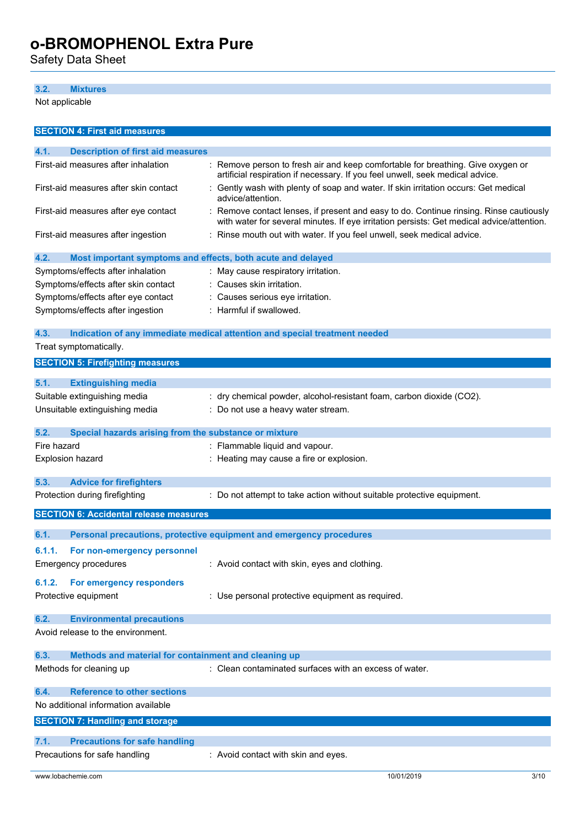Safety Data Sheet

### **3.2. Mixtures**

Not applicable

| <b>SECTION 4: First aid measures</b>                                |                                                                                                                                                                                     |
|---------------------------------------------------------------------|-------------------------------------------------------------------------------------------------------------------------------------------------------------------------------------|
| 4.1.<br><b>Description of first aid measures</b>                    |                                                                                                                                                                                     |
| First-aid measures after inhalation                                 | : Remove person to fresh air and keep comfortable for breathing. Give oxygen or<br>artificial respiration if necessary. If you feel unwell, seek medical advice.                    |
| First-aid measures after skin contact                               | : Gently wash with plenty of soap and water. If skin irritation occurs: Get medical<br>advice/attention.                                                                            |
| First-aid measures after eye contact                                | : Remove contact lenses, if present and easy to do. Continue rinsing. Rinse cautiously<br>with water for several minutes. If eye irritation persists: Get medical advice/attention. |
| First-aid measures after ingestion                                  | : Rinse mouth out with water. If you feel unwell, seek medical advice.                                                                                                              |
| 4.2.<br>Most important symptoms and effects, both acute and delayed |                                                                                                                                                                                     |
| Symptoms/effects after inhalation                                   | : May cause respiratory irritation.                                                                                                                                                 |
| Symptoms/effects after skin contact                                 | : Causes skin irritation.                                                                                                                                                           |
| Symptoms/effects after eye contact                                  | : Causes serious eye irritation.                                                                                                                                                    |
| Symptoms/effects after ingestion                                    | : Harmful if swallowed.                                                                                                                                                             |
| 4.3.                                                                | Indication of any immediate medical attention and special treatment needed                                                                                                          |
| Treat symptomatically.                                              |                                                                                                                                                                                     |
| <b>SECTION 5: Firefighting measures</b>                             |                                                                                                                                                                                     |
| 5.1.<br><b>Extinguishing media</b>                                  |                                                                                                                                                                                     |
| Suitable extinguishing media                                        | : dry chemical powder, alcohol-resistant foam, carbon dioxide (CO2).                                                                                                                |
| Unsuitable extinguishing media                                      | : Do not use a heavy water stream.                                                                                                                                                  |
|                                                                     |                                                                                                                                                                                     |
| 5.2.<br>Special hazards arising from the substance or mixture       |                                                                                                                                                                                     |
| Fire hazard                                                         | : Flammable liquid and vapour.                                                                                                                                                      |
| Explosion hazard                                                    | : Heating may cause a fire or explosion.                                                                                                                                            |
|                                                                     |                                                                                                                                                                                     |
| 5.3.<br><b>Advice for firefighters</b>                              |                                                                                                                                                                                     |
| Protection during firefighting                                      | : Do not attempt to take action without suitable protective equipment.                                                                                                              |
| <b>SECTION 6: Accidental release measures</b>                       |                                                                                                                                                                                     |
| 6.1.                                                                | Personal precautions, protective equipment and emergency procedures                                                                                                                 |
| For non-emergency personnel<br>6.1.1.                               |                                                                                                                                                                                     |
| <b>Emergency procedures</b>                                         | : Avoid contact with skin, eyes and clothing.                                                                                                                                       |
|                                                                     |                                                                                                                                                                                     |
| For emergency responders<br>6.1.2.                                  |                                                                                                                                                                                     |
| Protective equipment                                                | : Use personal protective equipment as required.                                                                                                                                    |
| <b>Environmental precautions</b><br>6.2.                            |                                                                                                                                                                                     |
| Avoid release to the environment.                                   |                                                                                                                                                                                     |
|                                                                     |                                                                                                                                                                                     |
| 6.3.<br>Methods and material for containment and cleaning up        |                                                                                                                                                                                     |
| Methods for cleaning up                                             | : Clean contaminated surfaces with an excess of water.                                                                                                                              |
|                                                                     |                                                                                                                                                                                     |
| <b>Reference to other sections</b><br>6.4.                          |                                                                                                                                                                                     |
| No additional information available                                 |                                                                                                                                                                                     |
| <b>SECTION 7: Handling and storage</b>                              |                                                                                                                                                                                     |
| <b>Precautions for safe handling</b><br>7.1.                        |                                                                                                                                                                                     |
| Precautions for safe handling                                       | : Avoid contact with skin and eyes.                                                                                                                                                 |
|                                                                     |                                                                                                                                                                                     |
| www.lobachemie.com                                                  | 10/01/2019<br>3/10                                                                                                                                                                  |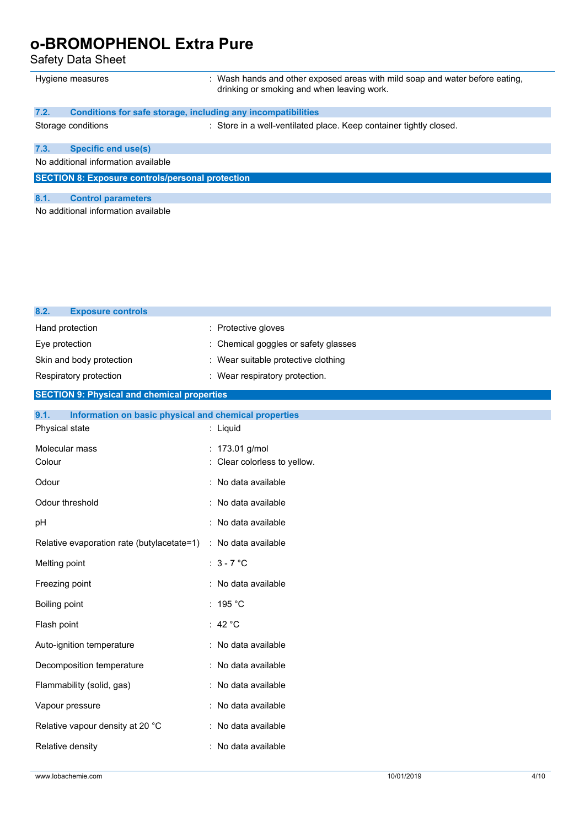Safety Data Sheet

**8.2. Exposure controls**

|      | Hygiene measures                                             | : Wash hands and other exposed areas with mild soap and water before eating,<br>drinking or smoking and when leaving work. |
|------|--------------------------------------------------------------|----------------------------------------------------------------------------------------------------------------------------|
| 7.2. | Conditions for safe storage, including any incompatibilities |                                                                                                                            |
|      | Storage conditions                                           | : Store in a well-ventilated place. Keep container tightly closed.                                                         |
| 7.3. | <b>Specific end use(s)</b>                                   |                                                                                                                            |
|      | No additional information available                          |                                                                                                                            |
|      | <b>SECTION 8: Exposure controls/personal protection</b>      |                                                                                                                            |
| 8.1. | <b>Control parameters</b>                                    |                                                                                                                            |
|      | No additional information available                          |                                                                                                                            |

| Hand protection                                               | : Protective gloves                          |
|---------------------------------------------------------------|----------------------------------------------|
| Eye protection                                                | Chemical goggles or safety glasses           |
| Skin and body protection                                      | : Wear suitable protective clothing          |
| Respiratory protection                                        | : Wear respiratory protection.               |
| <b>SECTION 9: Physical and chemical properties</b>            |                                              |
| 9.1.<br>Information on basic physical and chemical properties |                                              |
| Physical state                                                | : Liquid                                     |
| Molecular mass<br>Colour                                      | : 173.01 g/mol<br>Clear colorless to yellow. |
|                                                               |                                              |
| Odour                                                         | No data available                            |
| Odour threshold                                               | No data available                            |
| pH                                                            | : No data available                          |
| Relative evaporation rate (butylacetate=1)                    | : No data available                          |
| Melting point                                                 | : $3 - 7$ °C                                 |
| Freezing point                                                | No data available                            |
| Boiling point                                                 | : 195 °C                                     |
| Flash point                                                   | : 42 $^{\circ}$ C                            |
| Auto-ignition temperature                                     | : No data available                          |
| Decomposition temperature                                     | No data available                            |
| Flammability (solid, gas)                                     | No data available                            |
| Vapour pressure                                               | : No data available                          |
| Relative vapour density at 20 °C                              | No data available                            |
| Relative density                                              | : No data available                          |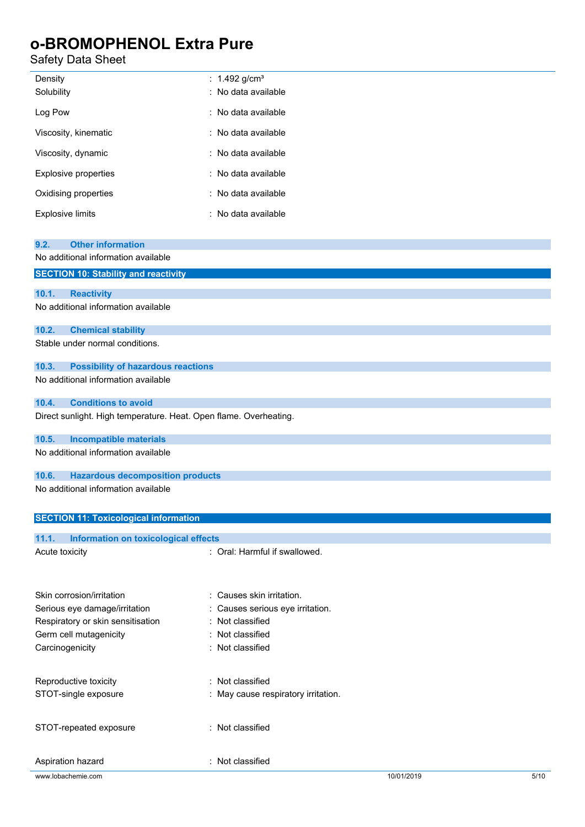## Safety Data Sheet

| Density<br>Solubility   | : 1.492 g/cm <sup>3</sup><br>: No data available |
|-------------------------|--------------------------------------------------|
| Log Pow                 | ∶ No data available.                             |
| Viscosity, kinematic    | : No data available                              |
| Viscosity, dynamic      | : No data available                              |
| Explosive properties    | : No data available                              |
| Oxidising properties    | : No data available                              |
| <b>Explosive limits</b> | : No data available                              |

| <b>Other information</b><br>9.2.                                  |                                     |
|-------------------------------------------------------------------|-------------------------------------|
| No additional information available                               |                                     |
| <b>SECTION 10: Stability and reactivity</b>                       |                                     |
|                                                                   |                                     |
| 10.1.<br><b>Reactivity</b>                                        |                                     |
| No additional information available                               |                                     |
| 10.2.<br><b>Chemical stability</b>                                |                                     |
| Stable under normal conditions.                                   |                                     |
| 10.3.<br><b>Possibility of hazardous reactions</b>                |                                     |
| No additional information available                               |                                     |
| <b>Conditions to avoid</b><br>10.4.                               |                                     |
| Direct sunlight. High temperature. Heat. Open flame. Overheating. |                                     |
| 10.5.<br><b>Incompatible materials</b>                            |                                     |
| No additional information available                               |                                     |
| 10.6.<br><b>Hazardous decomposition products</b>                  |                                     |
| No additional information available                               |                                     |
|                                                                   |                                     |
| <b>SECTION 11: Toxicological information</b>                      |                                     |
| 11.1.<br>Information on toxicological effects                     |                                     |
| Acute toxicity                                                    | : Oral: Harmful if swallowed.       |
|                                                                   |                                     |
|                                                                   |                                     |
| Skin corrosion/irritation                                         | : Causes skin irritation.           |
| Serious eye damage/irritation                                     | Causes serious eye irritation.      |
| Respiratory or skin sensitisation                                 | Not classified                      |
| Germ cell mutagenicity                                            | Not classified                      |
| Carcinogenicity                                                   | : Not classified                    |
|                                                                   |                                     |
| Reproductive toxicity                                             | : Not classified                    |
| STOT-single exposure                                              | : May cause respiratory irritation. |
|                                                                   |                                     |
| STOT-repeated exposure                                            | : Not classified                    |

Aspiration hazard **in the set of the Casacase** : Not classified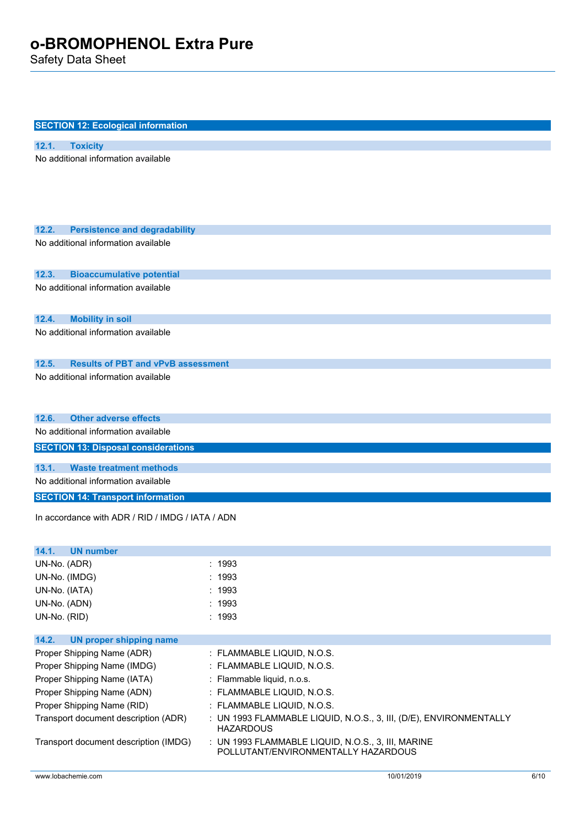Safety Data Sheet

| <b>SECTION 12: Ecological information</b>                                            |                                                                                                           |
|--------------------------------------------------------------------------------------|-----------------------------------------------------------------------------------------------------------|
| 12.1.<br><b>Toxicity</b>                                                             |                                                                                                           |
| No additional information available                                                  |                                                                                                           |
|                                                                                      |                                                                                                           |
|                                                                                      |                                                                                                           |
|                                                                                      |                                                                                                           |
|                                                                                      |                                                                                                           |
|                                                                                      |                                                                                                           |
| 12.2.<br><b>Persistence and degradability</b><br>No additional information available |                                                                                                           |
|                                                                                      |                                                                                                           |
|                                                                                      |                                                                                                           |
| 12.3.<br><b>Bioaccumulative potential</b>                                            |                                                                                                           |
| No additional information available                                                  |                                                                                                           |
|                                                                                      |                                                                                                           |
| 12.4.<br><b>Mobility in soil</b>                                                     |                                                                                                           |
| No additional information available                                                  |                                                                                                           |
|                                                                                      |                                                                                                           |
| 12.5.<br><b>Results of PBT and vPvB assessment</b>                                   |                                                                                                           |
| No additional information available                                                  |                                                                                                           |
|                                                                                      |                                                                                                           |
|                                                                                      |                                                                                                           |
| <b>Other adverse effects</b><br>12.6.                                                |                                                                                                           |
| No additional information available                                                  |                                                                                                           |
| <b>SECTION 13: Disposal considerations</b>                                           |                                                                                                           |
|                                                                                      |                                                                                                           |
| <b>Waste treatment methods</b><br>13.1.                                              |                                                                                                           |
| No additional information available                                                  |                                                                                                           |
| <b>SECTION 14: Transport information</b>                                             |                                                                                                           |
| In accordance with ADR / RID / IMDG / IATA / ADN                                     |                                                                                                           |
|                                                                                      |                                                                                                           |
| <b>UN number</b><br>14.1.                                                            |                                                                                                           |
| UN-No. (ADR)                                                                         | : 1993                                                                                                    |
| UN-No. (IMDG)                                                                        | : 1993                                                                                                    |
| UN-No. (IATA)                                                                        | : 1993                                                                                                    |
| UN-No. (ADN)                                                                         | : 1993                                                                                                    |
| UN-No. (RID)                                                                         | : 1993                                                                                                    |
|                                                                                      |                                                                                                           |
| 14.2.<br><b>UN proper shipping name</b>                                              |                                                                                                           |
| Proper Shipping Name (ADR)                                                           | : FLAMMABLE LIQUID, N.O.S.                                                                                |
| Proper Shipping Name (IMDG)                                                          | : FLAMMABLE LIQUID, N.O.S.                                                                                |
| Proper Shipping Name (IATA)                                                          | : Flammable liquid, n.o.s.                                                                                |
| Proper Shipping Name (ADN)                                                           | : FLAMMABLE LIQUID, N.O.S.                                                                                |
| Proper Shipping Name (RID)                                                           | : FLAMMABLE LIQUID, N.O.S.                                                                                |
|                                                                                      | <b>HAZARDOUS</b>                                                                                          |
| Transport document description (IMDG)                                                | : UN 1993 FLAMMABLE LIQUID, N.O.S., 3, III, MARINE                                                        |
| Transport document description (ADR)                                                 | : UN 1993 FLAMMABLE LIQUID, N.O.S., 3, III, (D/E), ENVIRONMENTALLY<br>POLLUTANT/ENVIRONMENTALLY HAZARDOUS |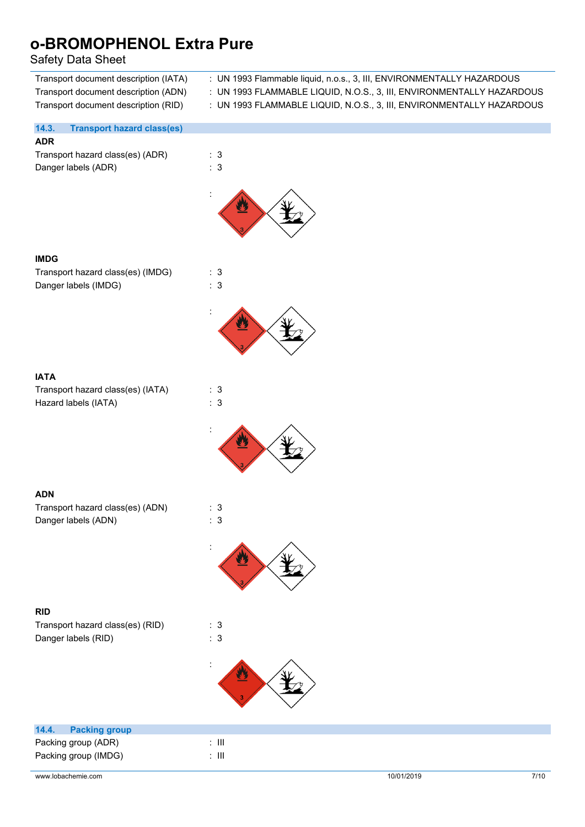## Safety Data Sheet

| sarety Data sneet                                                                                                     |                                                                                                                                                                                                                         |
|-----------------------------------------------------------------------------------------------------------------------|-------------------------------------------------------------------------------------------------------------------------------------------------------------------------------------------------------------------------|
| Transport document description (IATA)<br>Transport document description (ADN)<br>Transport document description (RID) | : UN 1993 Flammable liquid, n.o.s., 3, III, ENVIRONMENTALLY HAZARDOUS<br>: UN 1993 FLAMMABLE LIQUID, N.O.S., 3, III, ENVIRONMENTALLY HAZARDOUS<br>: UN 1993 FLAMMABLE LIQUID, N.O.S., 3, III, ENVIRONMENTALLY HAZARDOUS |
| 14.3.<br><b>Transport hazard class(es)</b>                                                                            |                                                                                                                                                                                                                         |
| <b>ADR</b>                                                                                                            |                                                                                                                                                                                                                         |
| Transport hazard class(es) (ADR)                                                                                      | : 3                                                                                                                                                                                                                     |
| Danger labels (ADR)                                                                                                   | : 3                                                                                                                                                                                                                     |
|                                                                                                                       |                                                                                                                                                                                                                         |
| <b>IMDG</b>                                                                                                           |                                                                                                                                                                                                                         |
| Transport hazard class(es) (IMDG)                                                                                     | : 3                                                                                                                                                                                                                     |
| Danger labels (IMDG)                                                                                                  | : 3                                                                                                                                                                                                                     |
|                                                                                                                       |                                                                                                                                                                                                                         |
|                                                                                                                       | <u>يل</u>                                                                                                                                                                                                               |
| <b>IATA</b>                                                                                                           |                                                                                                                                                                                                                         |
| Transport hazard class(es) (IATA)                                                                                     | : 3                                                                                                                                                                                                                     |
| Hazard labels (IATA)                                                                                                  | : 3                                                                                                                                                                                                                     |
|                                                                                                                       |                                                                                                                                                                                                                         |
|                                                                                                                       | $\overline{\boldsymbol{r}}$                                                                                                                                                                                             |
| <b>ADN</b>                                                                                                            |                                                                                                                                                                                                                         |
| Transport hazard class(es) (ADN)                                                                                      | : 3                                                                                                                                                                                                                     |
| Danger labels (ADN)                                                                                                   | : 3                                                                                                                                                                                                                     |
|                                                                                                                       |                                                                                                                                                                                                                         |
|                                                                                                                       |                                                                                                                                                                                                                         |
| <b>RID</b>                                                                                                            |                                                                                                                                                                                                                         |
| Transport hazard class(es) (RID)                                                                                      | : 3                                                                                                                                                                                                                     |
| Danger labels (RID)                                                                                                   | : 3                                                                                                                                                                                                                     |
|                                                                                                                       |                                                                                                                                                                                                                         |
|                                                                                                                       | $\ddot{\cdot}$                                                                                                                                                                                                          |
| 14.4.<br><b>Packing group</b>                                                                                         |                                                                                                                                                                                                                         |
| Packing group (ADR)                                                                                                   | $:$ $\mathbb H$                                                                                                                                                                                                         |
| Packing group (IMDG)                                                                                                  | $\colon$ III                                                                                                                                                                                                            |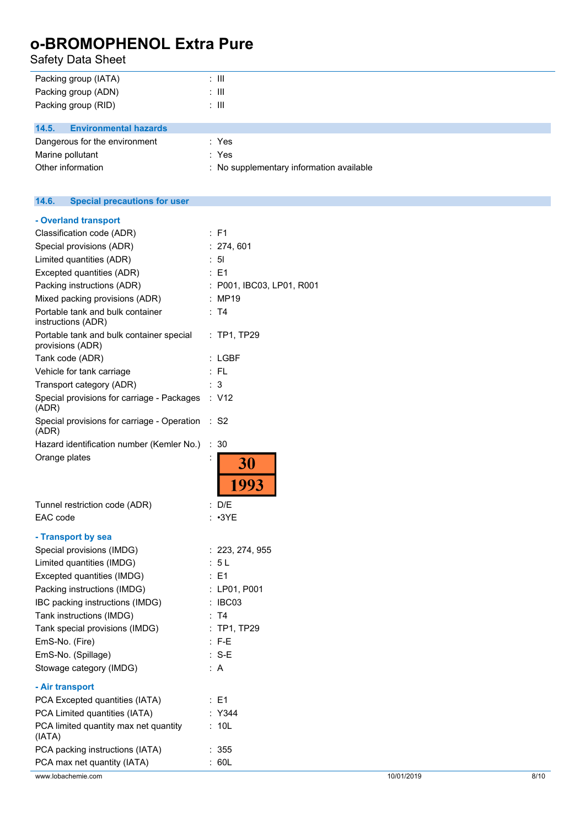Safety Data Sheet

| Packing group (IATA)                  | : III |  |
|---------------------------------------|-------|--|
| Packing group (ADN)                   | : III |  |
| Packing group (RID)                   | : III |  |
|                                       |       |  |
| 14.5.<br><b>Environmental hazards</b> |       |  |
| Dangerous for the environment         | : Yes |  |

Marine pollutant in the set of the set of the set of the set of the set of the set of the set of the set of the set of the set of the set of the set of the set of the set of the set of the set of the set of the set of the

Other information **contains the contact of the Contract Contract Contract Contract Contract Contract Contract Contract Contract Contract Contract Contract Contract Contract Contract Contract Contract Contract Contract Cont** 

| 14.6.<br><b>Special precautions for user</b>                 |                           |
|--------------------------------------------------------------|---------------------------|
| - Overland transport                                         |                           |
| Classification code (ADR)                                    | : F1                      |
| Special provisions (ADR)                                     | : 274, 601                |
| Limited quantities (ADR)                                     | : 51                      |
| Excepted quantities (ADR)                                    | $\therefore$ E1           |
| Packing instructions (ADR)                                   | : P001, IBC03, LP01, R001 |
| Mixed packing provisions (ADR)                               | : MP19                    |
| Portable tank and bulk container<br>instructions (ADR)       | : T4                      |
| Portable tank and bulk container special<br>provisions (ADR) | : TP1, TP29               |
| Tank code (ADR)                                              | : LGBF                    |
| Vehicle for tank carriage                                    | $:$ FL                    |
| Transport category (ADR)                                     | : 3                       |
| Special provisions for carriage - Packages<br>(ADR)          | : V12                     |
| Special provisions for carriage - Operation : S2<br>(ADR)    |                           |
| Hazard identification number (Kemler No.)                    | : 30                      |
| Orange plates                                                | 30<br>1993                |
| Tunnel restriction code (ADR)                                | : D/E                     |
| EAC code                                                     | $: \cdot3YE$              |
|                                                              |                           |
| - Transport by sea                                           |                           |
| Special provisions (IMDG)                                    | : 223, 274, 955           |
| Limited quantities (IMDG)<br>Excepted quantities (IMDG)      | : 5L<br>: E1              |
| Packing instructions (IMDG)                                  | : LP01, P001              |
| IBC packing instructions (IMDG)                              | : IBC03                   |
| Tank instructions (IMDG)                                     | : T4                      |
| Tank special provisions (IMDG)                               | $:$ TP1, TP29             |
| EmS-No. (Fire)                                               | $: F-E$                   |
| EmS-No. (Spillage)                                           | $: S-E$                   |
| Stowage category (IMDG)                                      | : $A$                     |
|                                                              |                           |
| - Air transport                                              |                           |
| PCA Excepted quantities (IATA)                               | : E1                      |
| PCA Limited quantities (IATA)                                | : Y344                    |
| PCA limited quantity max net quantity<br>(IATA)              | : 10L                     |
| PCA packing instructions (IATA)                              | : 355                     |
| PCA max net quantity (IATA)                                  | : 60L                     |
| www.lobachemie.com                                           | 10/01/2019<br>8/10        |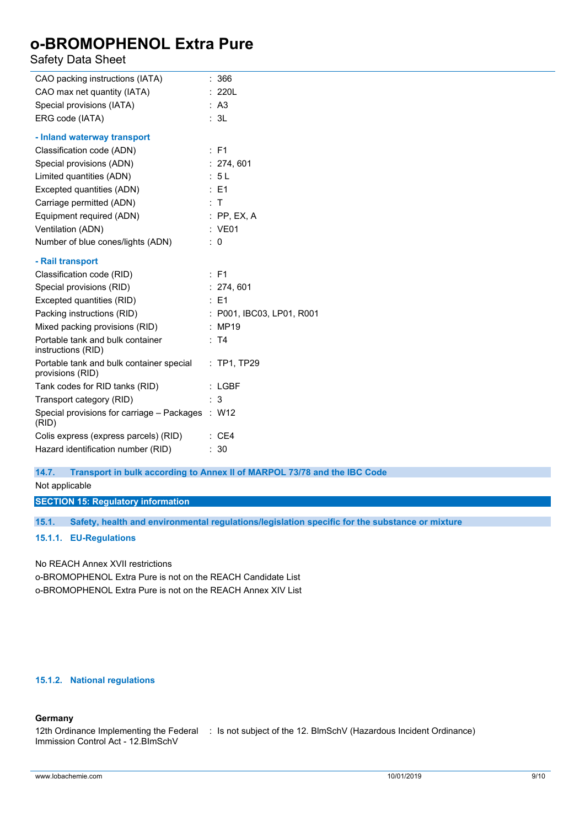## Safety Data Sheet

| CAO packing instructions (IATA)                              | : 366                     |
|--------------------------------------------------------------|---------------------------|
| CAO max net quantity (IATA)                                  | : 220L                    |
| Special provisions (IATA)                                    | : A3                      |
| ERG code (IATA)                                              | : 3L                      |
| - Inland waterway transport                                  |                           |
| Classification code (ADN)                                    | $\therefore$ F1           |
| Special provisions (ADN)                                     | : 274, 601                |
| Limited quantities (ADN)                                     | : 5L                      |
| Excepted quantities (ADN)                                    | $\therefore$ E1           |
| Carriage permitted (ADN)                                     | : T                       |
| Equipment required (ADN)                                     | $:$ PP, EX, A             |
| Ventilation (ADN)                                            | : VE01                    |
| Number of blue cones/lights (ADN)                            | $\therefore$ 0            |
| - Rail transport                                             |                           |
| Classification code (RID)                                    | $:$ F1                    |
| Special provisions (RID)                                     | : 274, 601                |
| Excepted quantities (RID)                                    | $\therefore$ E1           |
| Packing instructions (RID)                                   | : P001, IBC03, LP01, R001 |
| Mixed packing provisions (RID)                               | : MP19                    |
| Portable tank and bulk container<br>instructions (RID)       | : T4                      |
| Portable tank and bulk container special<br>provisions (RID) | : TP1, TP29               |
| Tank codes for RID tanks (RID)                               | $:$ LGBF                  |
| Transport category (RID)                                     | : 3                       |
| Special provisions for carriage - Packages : W12<br>(RID)    |                           |
| Colis express (express parcels) (RID)                        | : CE4                     |
| Hazard identification number (RID)                           | : 30                      |
|                                                              |                           |

**14.7. Transport in bulk according to Annex II of MARPOL 73/78 and the IBC Code**

Not applicable

**SECTION 15: Regulatory information**

**15.1. Safety, health and environmental regulations/legislation specific for the substance or mixture**

#### **15.1.1. EU-Regulations**

No REACH Annex XVII restrictions

o-BROMOPHENOL Extra Pure is not on the REACH Candidate List o-BROMOPHENOL Extra Pure is not on the REACH Annex XIV List

#### **15.1.2. National regulations**

#### **Germany**

```
12th Ordinance Implementing the Federal
: Is not subject of the 12. BlmSchV (Hazardous Incident Ordinance)Immission Control Act - 12.BImSchV
```